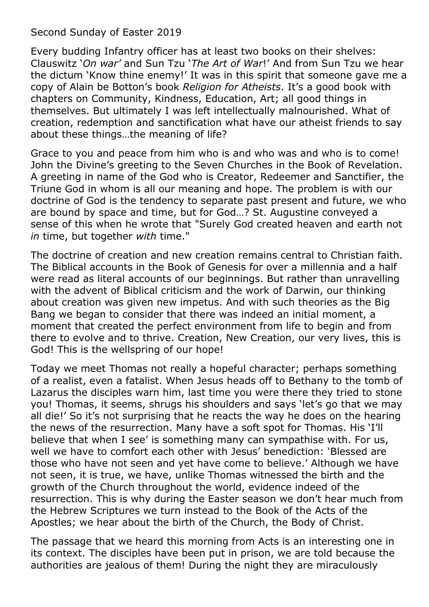Second Sunday of Easter 2019

Every budding Infantry officer has at least two books on their shelves: Clauswitz '*On war'* and Sun Tzu '*The Art of War*!' And from Sun Tzu we hear the dictum 'Know thine enemy!' It was in this spirit that someone gave me a copy of Alain be Botton's book *Religion for Atheists*. It's a good book with chapters on Community, Kindness, Education, Art; all good things in themselves. But ultimately I was left intellectually malnourished. What of creation, redemption and sanctification what have our atheist friends to say about these things…the meaning of life?

Grace to you and peace from him who is and who was and who is to come! John the Divine's greeting to the Seven Churches in the Book of Revelation. A greeting in name of the God who is Creator, Redeemer and Sanctifier, the Triune God in whom is all our meaning and hope. The problem is with our doctrine of God is the tendency to separate past present and future, we who are bound by space and time, but for God…? St. Augustine conveyed a sense of this when he wrote that "Surely God created heaven and earth not *in* time, but together *with* time."

The doctrine of creation and new creation remains central to Christian faith. The Biblical accounts in the Book of Genesis for over a millennia and a half were read as literal accounts of our beginnings. But rather than unravelling with the advent of Biblical criticism and the work of Darwin, our thinking about creation was given new impetus. And with such theories as the Big Bang we began to consider that there was indeed an initial moment, a moment that created the perfect environment from life to begin and from there to evolve and to thrive. Creation, New Creation, our very lives, this is God! This is the wellspring of our hope!

Today we meet Thomas not really a hopeful character; perhaps something of a realist, even a fatalist. When Jesus heads off to Bethany to the tomb of Lazarus the disciples warn him, last time you were there they tried to stone you! Thomas, it seems, shrugs his shoulders and says 'let's go that we may all die!' So it's not surprising that he reacts the way he does on the hearing the news of the resurrection. Many have a soft spot for Thomas. His 'I'll believe that when I see' is something many can sympathise with. For us, well we have to comfort each other with Jesus' benediction: 'Blessed are those who have not seen and yet have come to believe.' Although we have not seen, it is true, we have, unlike Thomas witnessed the birth and the growth of the Church throughout the world, evidence indeed of the resurrection. This is why during the Easter season we don't hear much from the Hebrew Scriptures we turn instead to the Book of the Acts of the Apostles; we hear about the birth of the Church, the Body of Christ.

The passage that we heard this morning from Acts is an interesting one in its context. The disciples have been put in prison, we are told because the authorities are jealous of them! During the night they are miraculously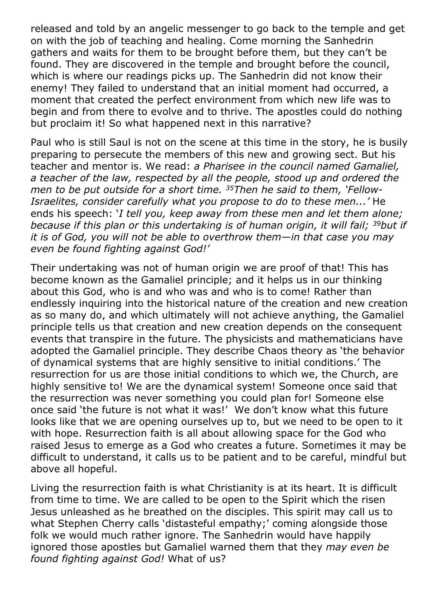released and told by an angelic messenger to go back to the temple and get on with the job of teaching and healing. Come morning the Sanhedrin gathers and waits for them to be brought before them, but they can't be found. They are discovered in the temple and brought before the council, which is where our readings picks up. The Sanhedrin did not know their enemy! They failed to understand that an initial moment had occurred, a moment that created the perfect environment from which new life was to begin and from there to evolve and to thrive. The apostles could do nothing but proclaim it! So what happened next in this narrative?

Paul who is still Saul is not on the scene at this time in the story, he is busily preparing to persecute the members of this new and growing sect. But his teacher and mentor is. We read: *a Pharisee in the council named Gamaliel, a teacher of the law, respected by all the people, stood up and ordered the men to be put outside for a short time. <sup>35</sup>Then he said to them, 'Fellow-Israelites, consider carefully what you propose to do to these men...'* He ends his speech: '*I tell you, keep away from these men and let them alone; because if this plan or this undertaking is of human origin, it will fail; <sup>39</sup>but if it is of God, you will not be able to overthrow them—in that case you may even be found fighting against God!'*

Their undertaking was not of human origin we are proof of that! This has become known as the Gamaliel principle; and it helps us in our thinking about this God, who is and who was and who is to come! Rather than endlessly inquiring into the historical nature of the creation and new creation as so many do, and which ultimately will not achieve anything, the Gamaliel principle tells us that creation and new creation depends on the consequent events that transpire in the future. The physicists and mathematicians have adopted the Gamaliel principle. They describe Chaos theory as 'the behavior of dynamical systems that are highly sensitive to initial conditions.' The resurrection for us are those initial conditions to which we, the Church, are highly sensitive to! We are the dynamical system! Someone once said that the resurrection was never something you could plan for! Someone else once said 'the future is not what it was!' We don't know what this future looks like that we are opening ourselves up to, but we need to be open to it with hope. Resurrection faith is all about allowing space for the God who raised Jesus to emerge as a God who creates a future. Sometimes it may be difficult to understand, it calls us to be patient and to be careful, mindful but above all hopeful.

Living the resurrection faith is what Christianity is at its heart. It is difficult from time to time. We are called to be open to the Spirit which the risen Jesus unleashed as he breathed on the disciples. This spirit may call us to what Stephen Cherry calls 'distasteful empathy;' coming alongside those folk we would much rather ignore. The Sanhedrin would have happily ignored those apostles but Gamaliel warned them that they *may even be found fighting against God!* What of us?